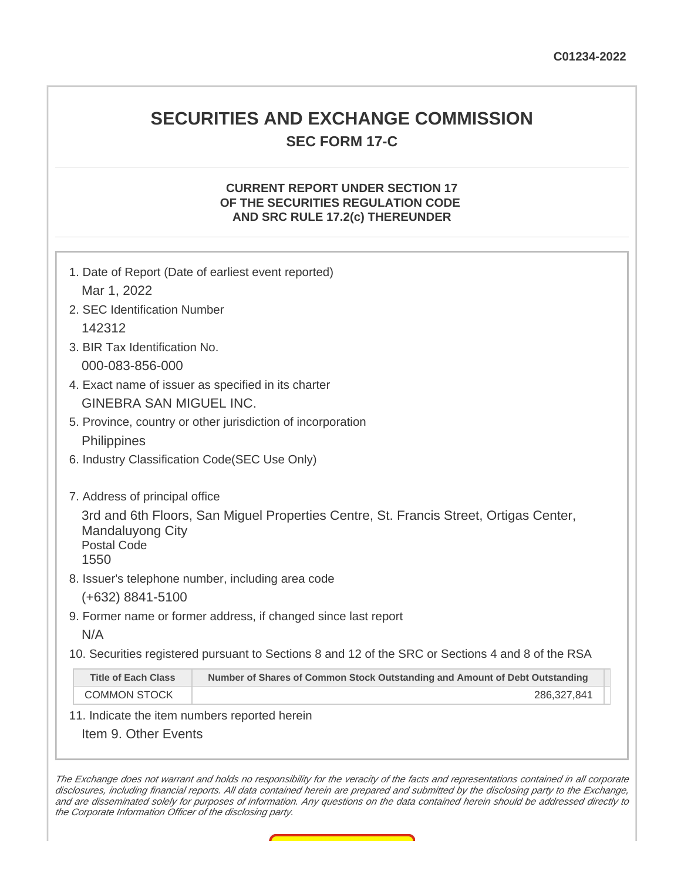### **SECURITIES AND EXCHANGE COMMISSION SEC FORM 17-C**

#### **CURRENT REPORT UNDER SECTION 17 OF THE SECURITIES REGULATION CODE AND SRC RULE 17.2(c) THEREUNDER**

| 1. Date of Report (Date of earliest event reported)                                                                                     |  |  |  |
|-----------------------------------------------------------------------------------------------------------------------------------------|--|--|--|
| Mar 1, 2022                                                                                                                             |  |  |  |
| 2. SEC Identification Number                                                                                                            |  |  |  |
| 142312                                                                                                                                  |  |  |  |
| 3. BIR Tax Identification No.                                                                                                           |  |  |  |
| 000-083-856-000                                                                                                                         |  |  |  |
| 4. Exact name of issuer as specified in its charter                                                                                     |  |  |  |
| <b>GINEBRA SAN MIGUEL INC.</b>                                                                                                          |  |  |  |
| 5. Province, country or other jurisdiction of incorporation                                                                             |  |  |  |
| Philippines                                                                                                                             |  |  |  |
| 6. Industry Classification Code (SEC Use Only)                                                                                          |  |  |  |
|                                                                                                                                         |  |  |  |
| 7. Address of principal office                                                                                                          |  |  |  |
| 3rd and 6th Floors, San Miguel Properties Centre, St. Francis Street, Ortigas Center,<br>Mandaluyong City<br><b>Postal Code</b><br>1550 |  |  |  |
| 8. Issuer's telephone number, including area code                                                                                       |  |  |  |
| $(+632)$ 8841-5100                                                                                                                      |  |  |  |
| 9. Former name or former address, if changed since last report                                                                          |  |  |  |
| N/A                                                                                                                                     |  |  |  |
| 10. Securities registered pursuant to Sections 8 and 12 of the SRC or Sections 4 and 8 of the RSA                                       |  |  |  |
| <b>Title of Each Class</b><br>Number of Shares of Common Stock Outstanding and Amount of Debt Outstanding                               |  |  |  |
| <b>COMMON STOCK</b><br>286,327,841                                                                                                      |  |  |  |
| 11. Indicate the item numbers reported herein                                                                                           |  |  |  |
| Item 9. Other Events                                                                                                                    |  |  |  |

The Exchange does not warrant and holds no responsibility for the veracity of the facts and representations contained in all corporate disclosures, including financial reports. All data contained herein are prepared and submitted by the disclosing party to the Exchange, and are disseminated solely for purposes of information. Any questions on the data contained herein should be addressed directly to the Corporate Information Officer of the disclosing party.

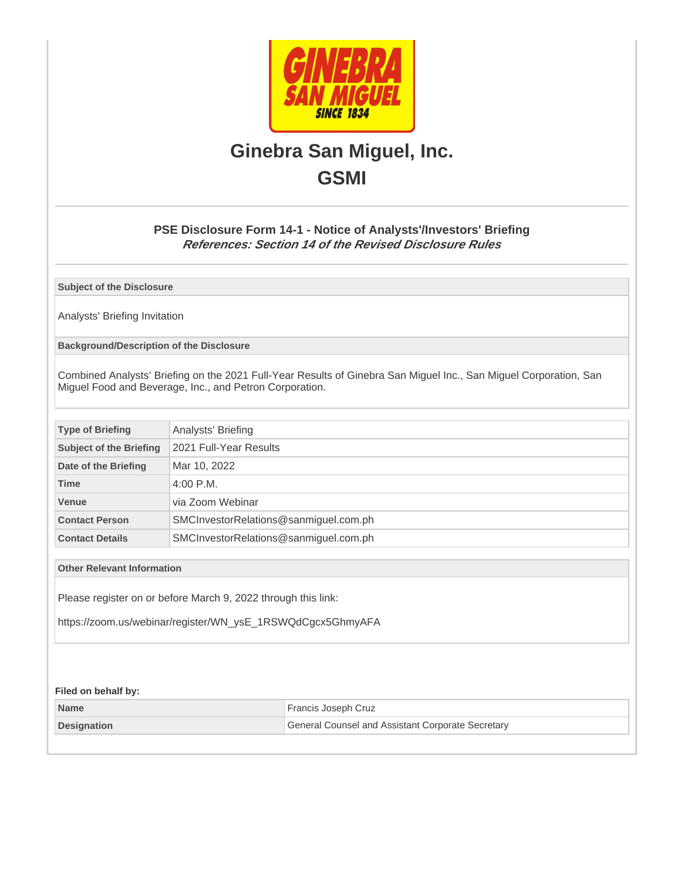

## **Ginebra San Miguel, Inc. GSMI**

#### **PSE Disclosure Form 14-1 - Notice of Analysts'/Investors' Briefing References: Section 14 of the Revised Disclosure Rules**

**Subject of the Disclosure**

Analysts' Briefing Invitation

**Background/Description of the Disclosure**

Combined Analysts' Briefing on the 2021 Full-Year Results of Ginebra San Miguel Inc., San Miguel Corporation, San Miguel Food and Beverage, Inc., and Petron Corporation.

| <b>Type of Briefing</b>        | Analysts' Briefing                    |  |
|--------------------------------|---------------------------------------|--|
| <b>Subject of the Briefing</b> | 2021 Full-Year Results                |  |
| Date of the Briefing           | Mar 10, 2022                          |  |
| <b>Time</b>                    | $4:00$ P.M.                           |  |
| <b>Venue</b>                   | via Zoom Webinar                      |  |
| <b>Contact Person</b>          | SMCInvestorRelations@sanmiguel.com.ph |  |
| <b>Contact Details</b>         | SMCInvestorRelations@sanmiguel.com.ph |  |

**Other Relevant Information**

Please register on or before March 9, 2022 through this link:

https://zoom.us/webinar/register/WN\_ysE\_1RSWQdCgcx5GhmyAFA

#### **Filed on behalf by:**

| <b>Name</b>        | Francis Joseph Cruz                               |
|--------------------|---------------------------------------------------|
| <b>Designation</b> | General Counsel and Assistant Corporate Secretary |
|                    |                                                   |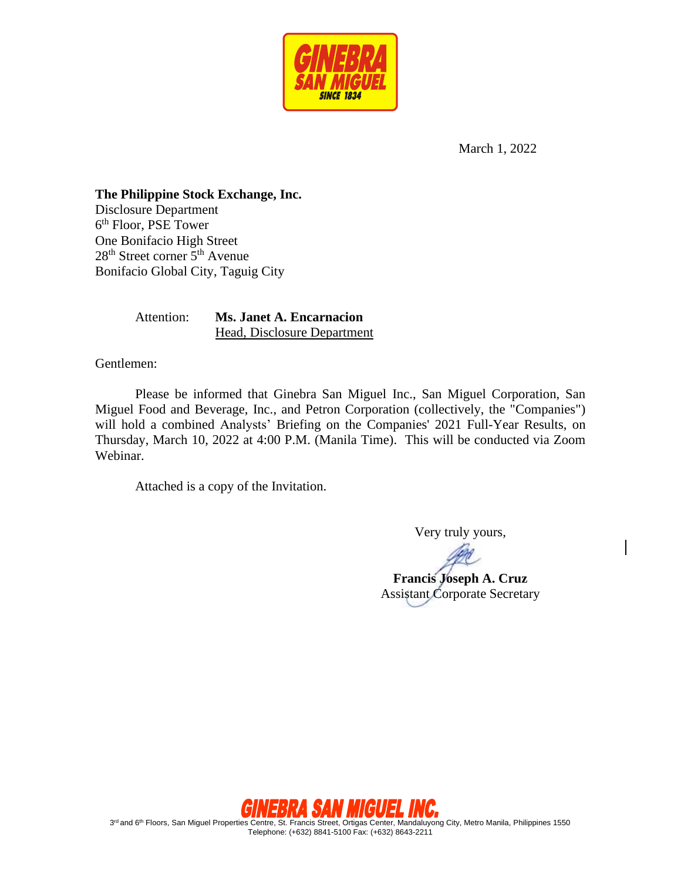

March 1, 2022

**The Philippine Stock Exchange, Inc.**  Disclosure Department 6 th Floor, PSE Tower One Bonifacio High Street 28<sup>th</sup> Street corner 5<sup>th</sup> Avenue Bonifacio Global City, Taguig City

> Attention: **Ms. Janet A. Encarnacion** Head, Disclosure Department

Gentlemen:

Please be informed that Ginebra San Miguel Inc., San Miguel Corporation, San Miguel Food and Beverage, Inc., and Petron Corporation (collectively, the "Companies") will hold a combined Analysts' Briefing on the Companies' 2021 Full-Year Results, on Thursday, March 10, 2022 at 4:00 P.M. (Manila Time). This will be conducted via Zoom Webinar.

Attached is a copy of the Invitation.

Very truly yours,

**Francis Joseph A. Cruz** Assistant Corporate Secretary



3<sup>rd</sup> and 6<sup>th</sup> Floors, San Miguel Properties Centre, St. Francis Street, Ortigas Center, Mandaluyong City, Metro Manila, Philippines 1550 Telephone: (+632) 8841-5100 Fax: (+632) 8643-2211